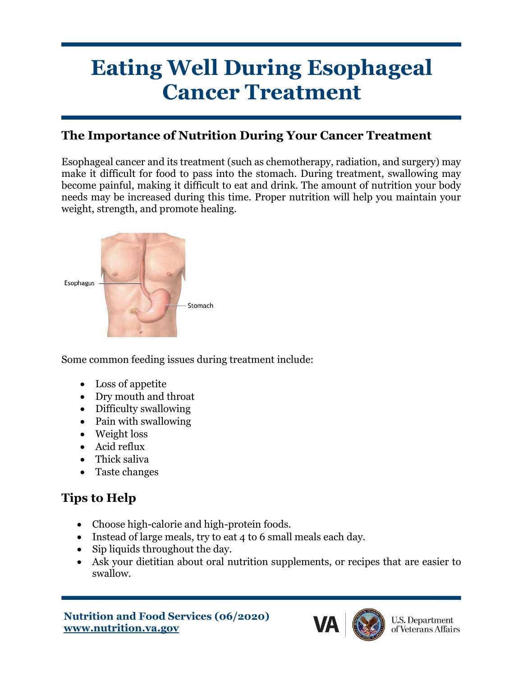# **Eating Well During Esophageal Cancer Treatment**

## **The Importance of Nutrition During Your Cancer Treatment**

Esophageal cancer and its treatment (such as chemotherapy, radiation, and surgery) may make it difficult for food to pass into the stomach. During treatment, swallowing may become painful, making it difficult to eat and drink. The amount of nutrition your body needs may be increased during this time. Proper nutrition will help you maintain your weight, strength, and promote healing.



Some common feeding issues during treatment include:

- Loss of appetite
- Dry mouth and throat
- Difficulty swallowing
- Pain with swallowing
- Weight loss
- Acid reflux
- Thick saliva
- Taste changes

# **Tips to Help**

- Choose high-calorie and high-protein foods.
- Instead of large meals, try to eat 4 to 6 small meals each day.
- Sip liquids throughout the day.
- Ask your dietitian about oral nutrition supplements, or recipes that are easier to swallow.

```
Nutrition and Food Services (06/2020)
www.nutrition.va.gov
```
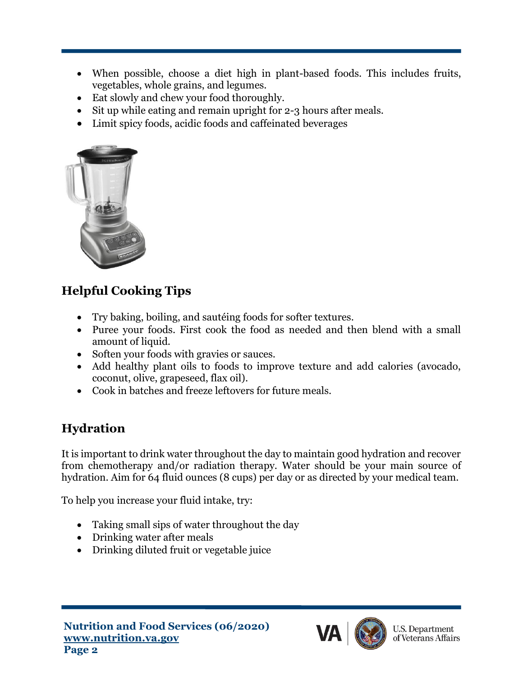- When possible, choose a diet high in plant-based foods. This includes fruits, vegetables, whole grains, and legumes.
- Eat slowly and chew your food thoroughly.
- Sit up while eating and remain upright for 2-3 hours after meals.
- Limit spicy foods, acidic foods and caffeinated beverages



# **Helpful Cooking Tips**

- Try baking, boiling, and sautéing foods for softer textures.
- Puree your foods. First cook the food as needed and then blend with a small amount of liquid.
- Soften your foods with gravies or sauces.
- Add healthy plant oils to foods to improve texture and add calories (avocado, coconut, olive, grapeseed, flax oil).
- Cook in batches and freeze leftovers for future meals.

# **Hydration**

It is important to drink water throughout the day to maintain good hydration and recover from chemotherapy and/or radiation therapy. Water should be your main source of hydration. Aim for 64 fluid ounces (8 cups) per day or as directed by your medical team.

To help you increase your fluid intake, try:

- Taking small sips of water throughout the day
- Drinking water after meals
- Drinking diluted fruit or vegetable juice



**U.S. Department** of Veterans Affairs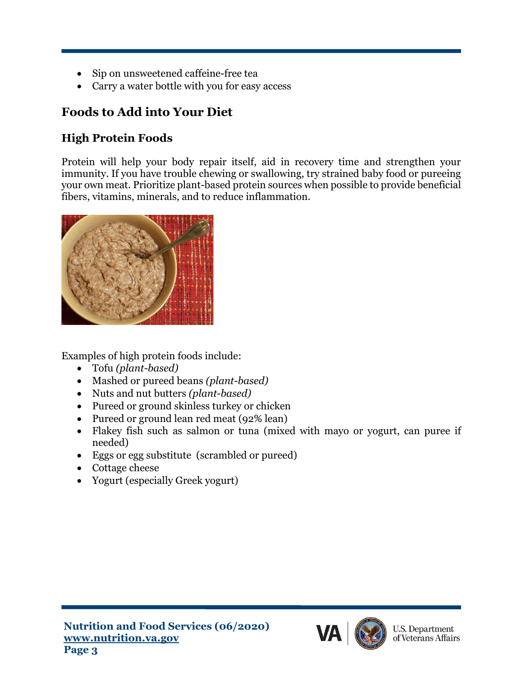- Sip on unsweetened caffeine-free tea
- Carry a water bottle with you for easy access

# **Foods to Add into Your Diet**

## **High Protein Foods**

Protein will help your body repair itself, aid in recovery time and strengthen your immunity. If you have trouble chewing or swallowing, try strained baby food or pureeing your own meat. Prioritize plant-based protein sources when possible to provide beneficial fibers, vitamins, minerals, and to reduce inflammation.



Examples of high protein foods include:

- Tofu *(plant-based)*
- Mashed or pureed beans *(plant-based)*
- Nuts and nut butters *(plant-based)*
- Pureed or ground skinless turkey or chicken
- Pureed or ground lean red meat (92% lean)
- Flakey fish such as salmon or tuna (mixed with mayo or yogurt, can puree if needed)
- Eggs or egg substitute (scrambled or pureed)
- Cottage cheese
- Yogurt (especially Greek yogurt)



**U.S. Department** of Veterans Affairs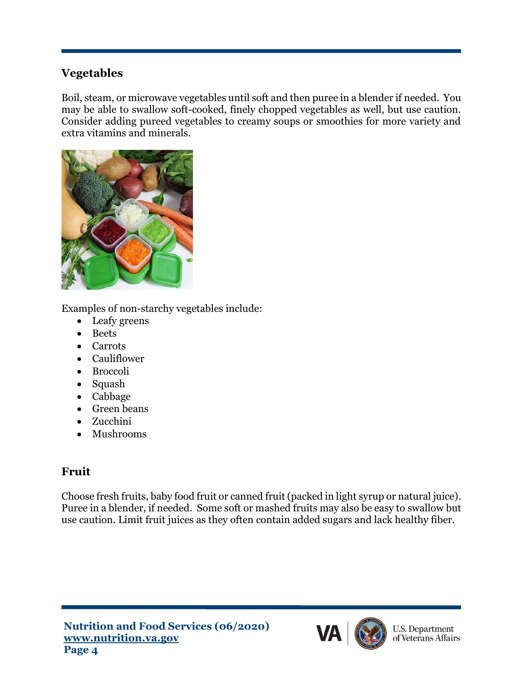#### **Vegetables**

Boil, steam, or microwave vegetables until soft and then puree in a blender if needed. You may be able to swallow soft-cooked, finely chopped vegetables as well, but use caution. Consider adding pureed vegetables to creamy soups or smoothies for more variety and extra vitamins and minerals.



Examples of non-starchy vegetables include:

- Leafy greens
- Beets
- Carrots
- Cauliflower
- Broccoli
- Squash
- Cabbage
- Green beans
- Zucchini
- Mushrooms

## **Fruit**

Choose fresh fruits, baby food fruit or canned fruit (packed in light syrup or natural juice). Puree in a blender, if needed. Some soft or mashed fruits may also be easy to swallow but use caution. Limit fruit juices as they often contain added sugars and lack healthy fiber.



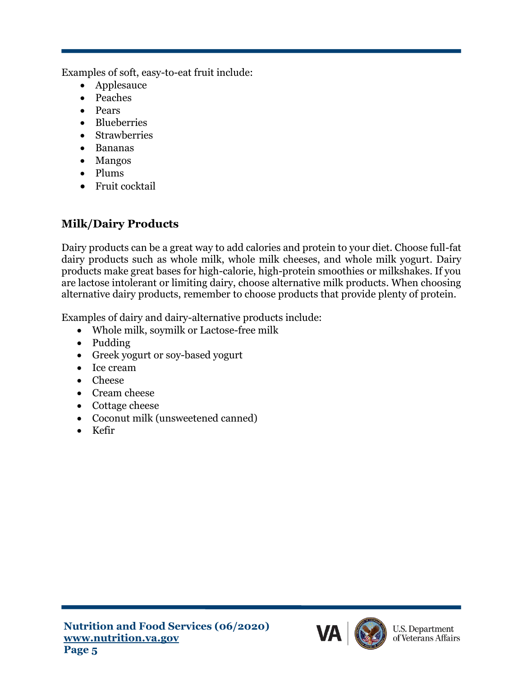Examples of soft, easy-to-eat fruit include:

- Applesauce
- Peaches
- Pears
- Blueberries
- Strawberries
- Bananas
- Mangos
- Plums
- Fruit cocktail

## **Milk/Dairy Products**

Dairy products can be a great way to add calories and protein to your diet. Choose full-fat dairy products such as whole milk, whole milk cheeses, and whole milk yogurt. Dairy products make great bases for high-calorie, high-protein smoothies or milkshakes. If you are lactose intolerant or limiting dairy, choose alternative milk products. When choosing alternative dairy products, remember to choose products that provide plenty of protein.

Examples of dairy and dairy-alternative products include:

- Whole milk, soymilk or Lactose-free milk
- Pudding
- Greek yogurt or soy-based yogurt
- Ice cream
- Cheese
- Cream cheese
- Cottage cheese
- Coconut milk (unsweetened canned)
- Kefir

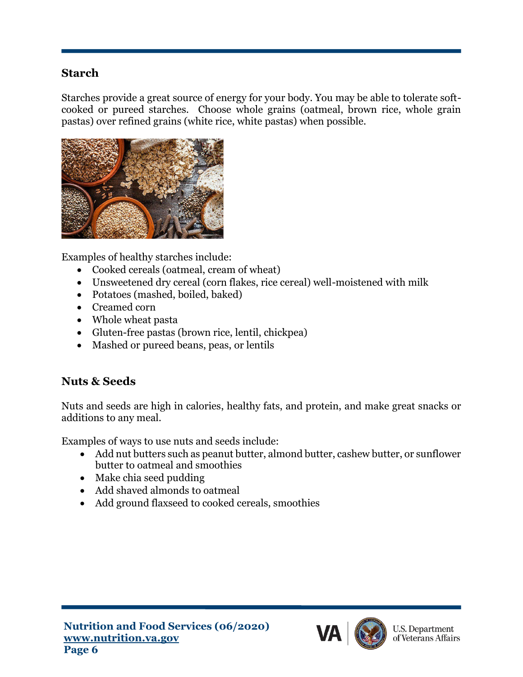#### **Starch**

Starches provide a great source of energy for your body. You may be able to tolerate softcooked or pureed starches. Choose whole grains (oatmeal, brown rice, whole grain pastas) over refined grains (white rice, white pastas) when possible.



Examples of healthy starches include:

- Cooked cereals (oatmeal, cream of wheat)
- Unsweetened dry cereal (corn flakes, rice cereal) well-moistened with milk
- Potatoes (mashed, boiled, baked)
- Creamed corn
- Whole wheat pasta
- Gluten-free pastas (brown rice, lentil, chickpea)
- Mashed or pureed beans, peas, or lentils

#### **Nuts & Seeds**

Nuts and seeds are high in calories, healthy fats, and protein, and make great snacks or additions to any meal.

Examples of ways to use nuts and seeds include:

- Add nut butters such as peanut butter, almond butter, cashew butter, or sunflower butter to oatmeal and smoothies
- Make chia seed pudding
- Add shaved almonds to oatmeal
- Add ground flaxseed to cooked cereals, smoothies